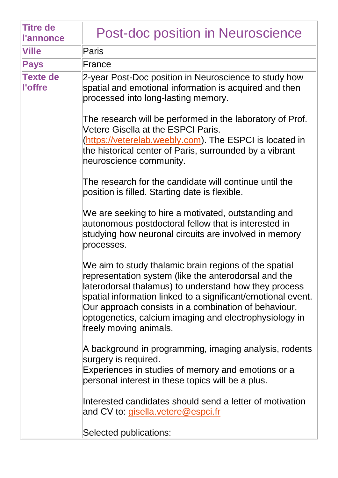| <b>Titre de</b><br><b>l'annonce</b> | <b>Post-doc position in Neuroscience</b>                                                                                                                                                                                                                                                                                                                                           |
|-------------------------------------|------------------------------------------------------------------------------------------------------------------------------------------------------------------------------------------------------------------------------------------------------------------------------------------------------------------------------------------------------------------------------------|
| <b>Ville</b>                        | <b>Paris</b>                                                                                                                                                                                                                                                                                                                                                                       |
| <b>Pays</b>                         | France                                                                                                                                                                                                                                                                                                                                                                             |
| <b>Texte de</b><br>l'offre          | 2-year Post-Doc position in Neuroscience to study how<br>spatial and emotional information is acquired and then<br>processed into long-lasting memory.                                                                                                                                                                                                                             |
|                                     | The research will be performed in the laboratory of Prof.<br>Vetere Gisella at the ESPCI Paris.<br>(https://veterelab.weebly.com). The ESPCI is located in<br>the historical center of Paris, surrounded by a vibrant<br>neuroscience community.                                                                                                                                   |
|                                     | The research for the candidate will continue until the<br>position is filled. Starting date is flexible.                                                                                                                                                                                                                                                                           |
|                                     | We are seeking to hire a motivated, outstanding and<br>autonomous postdoctoral fellow that is interested in<br>studying how neuronal circuits are involved in memory<br>processes.                                                                                                                                                                                                 |
|                                     | We aim to study thalamic brain regions of the spatial<br>representation system (like the anterodorsal and the<br>laterodorsal thalamus) to understand how they process<br>spatial information linked to a significant/emotional event.<br>Our approach consists in a combination of behaviour,<br>optogenetics, calcium imaging and electrophysiology in<br>freely moving animals. |
|                                     | A background in programming, imaging analysis, rodents<br>surgery is required.<br>Experiences in studies of memory and emotions or a<br>personal interest in these topics will be a plus.                                                                                                                                                                                          |
|                                     | Interested candidates should send a letter of motivation<br>and CV to: gisella.vetere@espci.fr                                                                                                                                                                                                                                                                                     |
|                                     | Selected publications:                                                                                                                                                                                                                                                                                                                                                             |